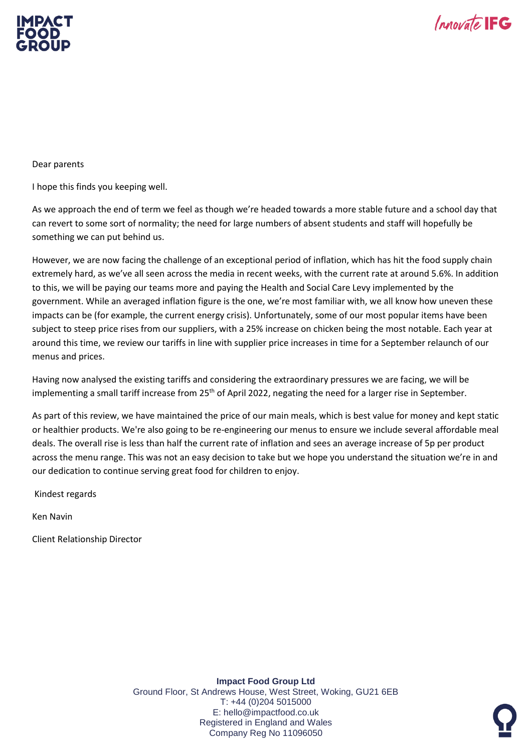



Dear parents

I hope this finds you keeping well.

As we approach the end of term we feel as though we're headed towards a more stable future and a school day that can revert to some sort of normality; the need for large numbers of absent students and staff will hopefully be something we can put behind us.

However, we are now facing the challenge of an exceptional period of inflation, which has hit the food supply chain extremely hard, as we've all seen across the media in recent weeks, with the current rate at around 5.6%. In addition to this, we will be paying our teams more and paying the Health and Social Care Levy implemented by the government. While an averaged inflation figure is the one, we're most familiar with, we all know how uneven these impacts can be (for example, the current energy crisis). Unfortunately, some of our most popular items have been subject to steep price rises from our suppliers, with a 25% increase on chicken being the most notable. Each year at around this time, we review our tariffs in line with supplier price increases in time for a September relaunch of our menus and prices.

Having now analysed the existing tariffs and considering the extraordinary pressures we are facing, we will be implementing a small tariff increase from 25<sup>th</sup> of April 2022, negating the need for a larger rise in September.

As part of this review, we have maintained the price of our main meals, which is best value for money and kept static or healthier products. We're also going to be re-engineering our menus to ensure we include several affordable meal deals. The overall rise is less than half the current rate of inflation and sees an average increase of 5p per product across the menu range. This was not an easy decision to take but we hope you understand the situation we're in and our dedication to continue serving great food for children to enjoy.

Kindest regards

Ken Navin

Client Relationship Director

**Impact Food Group Ltd** Ground Floor, St Andrews House, West Street, Woking, GU21 6EB T: +44 (0)204 5015000 E: hello@impactfood.co.uk Registered in England and Wales Company Reg No 11096050